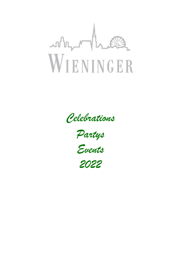

*Celebrations* 

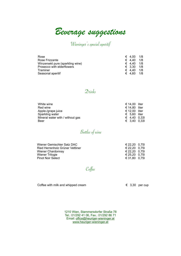*Beverage suggestions* 

# Wieninger's special aperitif

| Rose                             | $\epsilon$ 4.00 | 1/8 |
|----------------------------------|-----------------|-----|
| Rose Frizzante                   | € 4.40          | 1/8 |
| Winzersekt pure (sparkling wine) | $\epsilon$ 4.40 | 1/8 |
| Prosecco with elderflowers       | $\epsilon$ 3.30 | 1/8 |
| Traminer                         | $\epsilon$ 4.40 | 1/8 |
| Seasonal aperitif                | $\epsilon$ 4.60 | 1/8 |

## Drinks

| White wine                       | € 14.00 liter         |                      |
|----------------------------------|-----------------------|----------------------|
| Red wine                         | € 14.80 liter         |                      |
| Apple-/grape juice               | € 12.00 liter         |                      |
| Sparkling water                  | $\epsilon$ 5.60 liter |                      |
| Mineral water with / without gas |                       | $\epsilon$ 4.40 0.33 |
| Beer                             |                       | € 3.40 0.33          |

# Bottles of wine

| Wiener Gemischter Satz DAC       | € 22.20 0.75 |  |
|----------------------------------|--------------|--|
| Ried Herrenholz Grüner Veltliner | € 22.20 0.75 |  |
| Wiener Chardonnay                | € 22.20 0.75 |  |
| Wiener Trilogie                  | € 25.20 0.75 |  |
| <b>Pinot Noir Select</b>         | € 31.80 0.75 |  |

Coffee

Coffee with milk and whipped cream  $\epsilon$  3,30 per cup

1210 Wien, Stammersdorfer Straße 78 Tel.: 01/292 41 06, Fax.: 01/292 86 71 Email: [office@heuriger-wieninger.at](mailto:office@heuriger-wieninger.at) [www.heuriger-wieninger.at](http://www.heuriger-wieninger.at)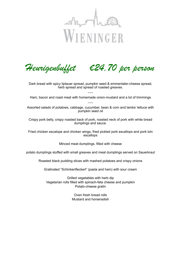

*Heurigenbuffet* €*24,70 per person* 

Dark bread with spicy liptauer spread, pumpkin seed & emmentaler-cheese spread, herb spread and spread of roasted greaves.

 $\sim\sim$ Ham, bacon and roast meat with homemade onion-mustard and a lot of trimmings  $\sim\sim\sim$ 

Assorted salads of potatoes, cabbage, cucumber, bean & corn and lambs' lettuce with pumpkin seed oil

Crispy pork belly, crispy roasted back of pork, roasted neck of pork with white bread dumplings and sauce.

Fried chicken escalope and chicken wings, fried pickled pork escallops and pork loin escallops

Minced meat dumplings, filled with cheese

potato dumplings stuffed with small greaves and meat dumplings served on Sauerkraut

Roasted black pudding slices with mashed potatoes and crispy onions

Gratinated "Schinkenfleckerl" (pasta and ham) with sour cream

Grilled vegetables with herb dip Vegetarian rolls filled with spinach-feta cheese and pumpkin Potato-cheese gratin

> Oven fresh bread rolls Mustard and horseradish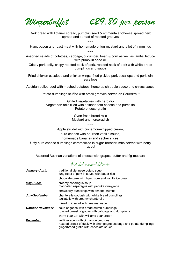*Winzerbuffet* €*29,80 per person* 

Dark bread with liptauer spread, pumpkin seed & emmentaler-cheese spread herb spread and spread of roasted greaves

 $\sim$   $\sim$   $\sim$ Ham, bacon and roast meat with homemade onion-mustard and a lot of trimmings  $\sim\sim\sim$ 

Assorted salads of potatoes, cabbage, cucumber, bean & corn as well as lambs' lettuce with pumpkin seed oil

Crispy pork belly, crispy roasted back of pork, roasted neck of pork with white bread dumplings and sauce

Fried chicken escalope and chicken wings, fried pickled pork escallops and pork loin escallops

Austrian boiled beef with mashed potatoes, horseradish apple sauce and chives sauce

Potato dumplings stuffed with small greaves served on Sauerkraut

Grilled vegetables with herb dip Vegetarian rolls filled with spinach-feta cheese and pumpkin Potato-cheese gratin

> Oven fresh bread rolls Mustard and horseradish

> > $\sim\sim\sim$

Apple strudel with cinnamon-whipped cream, curd cheese with bourbon vanilla sauce, homemade banana- and sacher slices, fluffy curd cheese dumplings caramelized in sugar-breadcrumbs served with berry ragout

Assorted Austrian variations of cheese with grapes, butter and fig-mustard

## Included seasonal delicacies

| January- April:         | traditional viennese potato soup<br>lung roast of pork in sauce with butter rice                                                                       |
|-------------------------|--------------------------------------------------------------------------------------------------------------------------------------------------------|
|                         | chocolate cake with liquid core and vanilla ice cream                                                                                                  |
| May-June:               | creamy asparagus soup<br>marinated asparagus with paprika vinaigrette                                                                                  |
|                         | strawberry dumplings with almond crumbs                                                                                                                |
| <b>July-September:</b>  | chanterelle goulash with white bread dumplings<br>tagliatelle with creamy chanterelle                                                                  |
|                         | mixed fruit salad with lime marinade                                                                                                                   |
| <b>October-November</b> | soup of goose with bread crumb dumplings<br>roasted breast of goose with cabbage and dumplings                                                         |
|                         | warm pear tart with williams pear cream                                                                                                                |
| December:               | veltliner soup with cinnamon croutons<br>roasted breast of duck with champagne cabbage and potato dumplings<br>gingerbread gratin with chocolate sauce |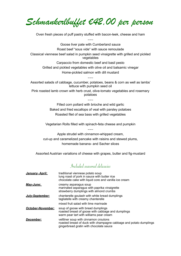*Schmankerlbuffet* €*42,00 per person* 

Oven fresh pieces of puff pastry stuffed with bacon-leek, cheese and ham  $\sim\sim$ 

Goose liver pate with Cumberland sauce Roast beef "sous vide" with sauce remoulade Classical viennese beef salad in pumpkin seed vinaigrette with grilled and pickled vegetables Carpaccio from domestic beef and basil pesto Grilled and pickled vegetables with olive oil and balsamic vinegar

> Home-pickled salmon with dill mustard  $\sim\sim$

Assorted salads of cabbage, cucumber, potatoes, beans & corn as well as lambs' lettuce with pumpkin seed oil

Pink roasted lamb crown with herb crust, olive-tomato vegetables and rosemary potatoes

 $\sim\sim$ 

Filled corn pollard with brioche and wild garlic Baked and fried escallops of veal with parsley potatoes Roasted filet of sea bass with grilled vegetables

Vegetarian Rolls filled with spinach-feta cheese and pumpkin  $\sim\sim$ 

Apple strudel with cinnamon-whipped cream, cut-up and caramelized pancake with raisins and stewed plums, homemade banana- and Sacher slices

Assorted Austrian variations of cheese with grapes, butter and fig-mustard

# Included seasonal delicacies

| January- April:          | traditional viennese potato soup<br>lung roast of pork in sauce with butter rice<br>chocolate cake with liquid core and vanilla ice cream              |
|--------------------------|--------------------------------------------------------------------------------------------------------------------------------------------------------|
| May-June:                | creamy asparagus soup<br>marinated asparagus with paprika vinaigrette<br>strawberry dumplings with almond crumbs                                       |
| July-September:          | chanterelle goulash with white bread dumplings<br>tagliatelle with creamy chanterelle                                                                  |
|                          | mixed fruit salad with lime marinade                                                                                                                   |
| <b>October-November:</b> | soup of goose with bread dumplings<br>roasted breast of goose with cabbage and dumplings<br>warm pear tart with williams pear cream                    |
| December:                | veltliner soup with cinnamon croutons<br>roasted breast of duck with champagne cabbage and potato dumplings<br>gingerbread gratin with chocolate sauce |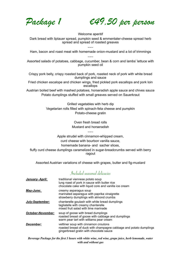*Package 1* €*49,50 per person* 

Welcome aperitif Dark bread with liptauer spread, pumpkin seed & emmentaler-cheese spread herb spread and spread of roasted greaves

 $\sim\sim$ Ham, bacon and roast meat with homemade onion-mustard and a lot of trimmings  $\sim\sim$ 

Assorted salads of potatoes, cabbage, cucumber, bean & corn and lambs' lettuce with pumpkin seed oil

Crispy pork belly, crispy roasted back of pork, roasted neck of pork with white bread dumplings and sauce

Fried chicken escalope and chicken wings, fried pickled pork escallops and pork loin escallops

Austrian boiled beef with mashed potatoes, horseradish apple sauce and chives sauce Potato dumplings stuffed with small greaves served on Sauerkraut

> Grilled vegetables with herb dip Vegetarian rolls filled with spinach-feta cheese and pumpkin Potato-cheese gratin

> > Oven fresh bread rolls Mustard and horseradish

> > > $\sim\sim$

Apple strudel with cinnamon-whipped cream, curd cheese with bourbon vanilla sauce, homemade banana- and sacher slices, fluffy curd cheese dumplings caramelized in sugar-breadcrumbs served with berry ragout

Assorted Austrian variations of cheese with grapes, butter and fig-mustard

## Included seasonal delicacies

| <u>January-April:</u> | traditional viennese potato soup<br>lung roast of pork in sauce with butter rice<br>chocolate cake with liquid core and vanilla ice cream              |
|-----------------------|--------------------------------------------------------------------------------------------------------------------------------------------------------|
| May-June:             | creamy asparagus soup<br>marinated asparagus with paprika vinaigrette<br>strawberry dumplings with almond crumbs                                       |
| July-September:       | chanterelle goulash with white bread dumplings<br>tagliatelle with creamy chanterelle<br>mixed fruit salad with lime marinade                          |
| October-November:     | soup of goose with bread dumplings<br>roasted breast of goose with cabbage and dumplings<br>warm pear tart with williams pear cream                    |
| December:             | veltliner soup with cinnamon croutons<br>roasted breast of duck with champagne cabbage and potato dumplings<br>gingerbread gratin with chocolate sauce |

*Beverage Package for the first 3 hours with white wine, red wine, grape juice, herb lemonade, water with and without gas*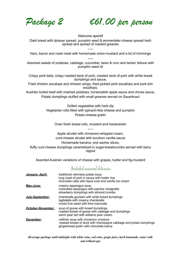*Package 2* €*61,00 per person* 

Welcome aperitif Dark bread with liptauer spread, pumpkin seed & emmentaler-cheese spread herb spread and spread of roasted greaves

 $\sim\sim$ Ham, bacon and roast meat with homemade onion-mustard and a lot of trimmings  $\sim\sim$ 

Assorted salads of potatoes, cabbage, cucumber, bean & corn and lambs' lettuce with pumpkin seed oil

Crispy pork belly, crispy roasted back of pork, roasted neck of pork with white bread dumplings and sauce,

Fried chicken escalope and chicken wings, fried pickled pork escallops and pork loin escallops,

Austrian boiled beef with mashed potatoes, horseradish apple sauce and chives sauce, Potato dumplings stuffed with small greaves served on Sauerkraut

> Grilled vegetables with herb dip Vegetarian rolls filled with spinach-feta cheese and pumpkin Potato-cheese gratin

> > Oven fresh bread rolls, mustard and horseradish

 $\sim\sim$ Apple strudel with cinnamon-whipped cream, curd cheese strudel with bourbon vanilla sauce Homemade banana- and sacher slices, fluffy curd cheese dumplings caramelized in sugar-breadcrumbs served with berry ragout

Assorted Austrian variations of cheese with grapes, butter and fig-mustard

## Included seasonal delicacies

| January- April:          | traditional viennese potato soup<br>lung roast of pork in sauce with butter rice<br>chocolate cake with liquid core and vanilla ice cream              |
|--------------------------|--------------------------------------------------------------------------------------------------------------------------------------------------------|
| May-June:                | creamy asparagus soup<br>marinated asparagus with paprika vinaigrette<br>strawberry dumplings with almond crumbs                                       |
| July-September:          | chanterelle goulash with white bread dumplings<br>tagliatelle with creamy chanterelle<br>mixed fruit salad with lime marinade                          |
| <b>October-November:</b> | soup of goose with bread dumplings<br>roasted breast of goose with cabbage and dumplings<br>warm pear tart with williams pear cream                    |
| December:                | veltliner soup with cinnamon croutons<br>roasted breast of duck with champagne cabbage and potato dumplings<br>gingerbread gratin with chocolate sauce |

*Beverage package until midnight with white wine, red wine, grape juice, herb lemonade, water with and without gas*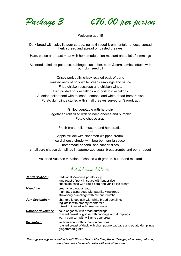*Package 3* €*76,00 per person* 

Welcome aperitif

Dark bread with spicy liptauer spread, pumpkin seed & emmentaler-cheese spread herb spread and spread of roasted greaves

 $\sim\sim\sim$ Ham, bacon and roast meat with homemade onion-mustard and a lot of trimmings  $\sim\sim\sim$ 

Assorted salads of potatoes, cabbage, cucumber, bean & corn, lambs lettuce with pumpkin seed oil

Crispy pork belly, crispy roasted back of pork, roasted neck of pork white bread dumplings and sauce Fried chicken escalope and chicken wings, fried pickled pork escallops and pork loin escallops Austrian boiled beef with mashed potatoes and white bread-horseradish Potato dumplings stuffed with small greaves served on Sauerkraut

> Grilled vegetable with herb dip Vegetarian rolls filled with spinach-cheese and pumpkin Potato-cheese gratin

> > Fresh bread rolls, mustard and horseradish  $\sim\sim\sim$

Apple strudel with cinnamon-whipped cream, curd cheese strudel with bourbon vanilla sauce, homemade banana- and sacher slices,

small curd cheese dumplings in caramelized sugar-breadcrumbs and berry ragout

Assorted Austrian variation of cheese with grapes, butter and mustard

## Included seasonal delicacies

| January-April:           | traditional Viennese potato soup<br>lung roast of pork in sauce with butter rice<br>chocolate cake with liquid core and vanilla ice cream |
|--------------------------|-------------------------------------------------------------------------------------------------------------------------------------------|
| May-June:                | creamy asparagus soup<br>marinated asparagus with paprika vinaigrette<br>strawberry dumplings with almond crumbs                          |
| July-September:          | chanterelle goulash with white bread dumplings<br>tagliatelle with creamy chanterelle<br>mixed fruit salad with lime-marinade             |
| <b>October-November:</b> | soup of goose with bread dumplings<br>roasted breast of goose with cabbage and dumplings<br>warm pear tart with williams pear cream       |
| December:                | veltliner soup with cinnamon croutons<br>roasted breast of duck with champagne cabbage and potato dumplings<br>gingerbread gratin         |

*Beverage package until midnight with Wiener Gemischter Satz, Wiener Trilogie, white wine, red wine, grape juice, herb lemonade, water with and without gas*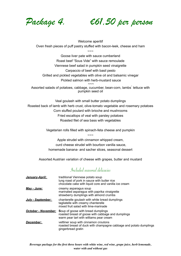*Package 4.* €*61,50 per person* 

Welcome aperitif Oven fresh pieces of puff pastry stuffed with bacon-leek, cheese and ham

 $\sim\sim\sim$ 

Goose liver pate with sauce cumberland Roast beef "Sous Vide" with sauce remoulade Viennese beef salad in pumpkin seed vinaigrette Carpaccio of beef with basil pesto Grilled and pickled vegetables with olive oil and balsamic vinegar Pickled salmon with herb-mustard sauce

 $\sim\sim\sim$ Assorted salads of potatoes, cabbage, cucumber, bean-corn, lambs lettuce with pumpkin seed oil

Veal goulash with small butter potato dumplings Roasted back of lamb with herb crust, olive-tomato vegetable and rosemary potatoes Corn stuffed poulard with brioche and mushrooms Fried escallops of veal with parsley potatoes Roasted filet of sea bass with vegetables

> Vegetarian rolls filled with spinach-feta cheese and pumpkin  $\sim\sim\sim$

Apple strudel with cinnamon whipped cream, curd cheese strudel with bourbon vanilla sauce, homemade banana- and sacher slices, seasonal dessert

Assorted Austrian variation of cheese with grapes, butter and mustard

## Included seasonal delicacies

| January-April:             | traditional Viennese potato soup<br>lung roast of pork in sauce with butter rice<br>chocolate cake with liquid core and vanilla ice cream |
|----------------------------|-------------------------------------------------------------------------------------------------------------------------------------------|
| May - June:                | creamy asparagus soup<br>marinated asparagus with paprika vinaigrette<br>strawberry dumplings with almond crumbs                          |
| July - September:          | chanterelle goulash with white bread dumplings<br>tagliatelle with creamy chanterelle<br>mixed fruit salad with lime-marinade             |
| <b>October - November:</b> | Soup of goose with bread dumplings<br>roasted breast of goose with cabbage and dumplings<br>warm pear tart with williams pear cream       |
| December:                  | veltliner soup with cinnamon croutons<br>roasted breast of duck with champagne cabbage and potato dumplings<br>gingerbread gratin         |

*Beverage package for the first three hours with white wine, red wine, grape juice, herb lemonade, water with and without gas*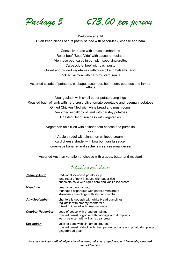*Package 5* €*73,00 per person* 

Welcome aperitif Oven fresh pieces of puff pastry stuffed with bacon-leek, cheese and ham

 $\sim\sim\sim$ Goose liver pate with sauce cumberland Roast beef "Sous Vide" with sauce remoulade Viennese beef salad in pumpkin seed vinaigrette, Carpaccio of beef with basil pesto Grilled and pickled vegetables with olive oil and balsamic acid, Pickled salmon with herb-mustard sauce  $\sim\sim\sim$ 

Assorted salads of potatoes, cabbage, cucumber, bean-corn, potatoes and lambs<sup>'</sup> lettuce

Veal goulash with small butter potato dumplings Roasted back of lamb with herb crust, olive-tomato vegetable and rosemary potatoes Grilled Chicken filled with white bread and mushrooms Deep fried escallops of veal with parsley potatoes Roasted filet of sea bass with vegetables

> Vegetarian rolls filled with spinach-feta cheese and pumpkin  $\sim\sim\sim$

Apple strudel with cinnamon whipped cream, curd cheese strudel with bourbon vanilla sauce, homemade banana- and sacher slices, seasonal dessert

Assorted Austrian variation of cheese with grapes, butter and mustard

# Included seasonal delicacies

| January-April:    | traditional Viennese potato soup<br>lung roast of pork in sauce with butter rice<br>chocolate cake with liquid core and vanilla ice cream |
|-------------------|-------------------------------------------------------------------------------------------------------------------------------------------|
| May-June:         | creamy asparagus soup<br>marinated asparagus with paprika vinaigrette<br>strawberry dumplings with almond crumbs                          |
| July-September:   | chanterelle goulash with white bread dumplings<br>tagliatelle with creamy chanterelle<br>mixed fruit salad with lime-marinade             |
| October-November: | soup of goose with bread dumplings<br>roasted breast of goose with cabbage and dumplings<br>warm pear tart with williams pear cream       |
| December:         | veltliner soup with cinnamon croutons<br>roasted breast of duck with champagne cabbage and potato dumplings<br>gingerbread gratin         |